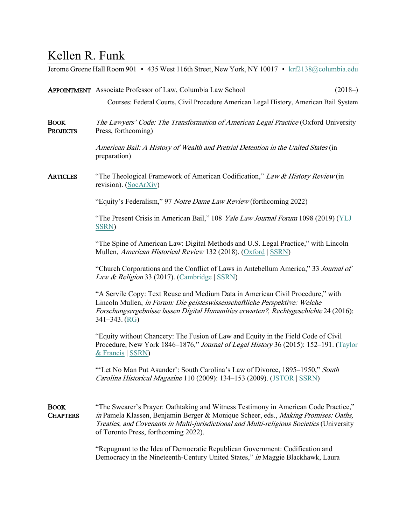## Kellen R. Funk

|                                | Jerome Greene Hall Room 901 • 435 West 116th Street, New York, NY 10017 • krf2138@columbia.edu                                                                                                                                                                                                                         |
|--------------------------------|------------------------------------------------------------------------------------------------------------------------------------------------------------------------------------------------------------------------------------------------------------------------------------------------------------------------|
|                                | <b>APPOINTMENT</b> Associate Professor of Law, Columbia Law School<br>$(2018-)$                                                                                                                                                                                                                                        |
|                                | Courses: Federal Courts, Civil Procedure American Legal History, American Bail System                                                                                                                                                                                                                                  |
| <b>BOOK</b><br><b>PROJECTS</b> | The Lawyers' Code: The Transformation of American Legal Practice (Oxford University<br>Press, forthcoming)                                                                                                                                                                                                             |
|                                | American Bail: A History of Wealth and Pretrial Detention in the United States (in<br>preparation)                                                                                                                                                                                                                     |
| <b>ARTICLES</b>                | "The Theological Framework of American Codification," Law & History Review (in<br>revision). (SocArXiv)                                                                                                                                                                                                                |
|                                | "Equity's Federalism," 97 Notre Dame Law Review (forthcoming 2022)                                                                                                                                                                                                                                                     |
|                                | "The Present Crisis in American Bail," 108 <i>Yale Law Journal Forum</i> 1098 (2019) (YLJ<br><b>SSRN</b> )                                                                                                                                                                                                             |
|                                | "The Spine of American Law: Digital Methods and U.S. Legal Practice," with Lincoln<br>Mullen, American Historical Review 132 (2018). (Oxford   SSRN)                                                                                                                                                                   |
|                                | "Church Corporations and the Conflict of Laws in Antebellum America," 33 Journal of<br>Law & Religion 33 (2017). (Cambridge   SSRN)                                                                                                                                                                                    |
|                                | "A Servile Copy: Text Reuse and Medium Data in American Civil Procedure," with<br>Lincoln Mullen, in Forum: Die geisteswissenschaftliche Perspektive: Welche<br>Forschungsergebnisse lassen Digital Humanities erwarten?, Rechtsgeschichte 24 (2016):<br>$341 - 343$ . (RG)                                            |
|                                | "Equity without Chancery: The Fusion of Law and Equity in the Field Code of Civil<br>Procedure, New York 1846–1876," Journal of Legal History 36 (2015): 152–191. (Taylor<br>& Francis   SSRN)                                                                                                                         |
|                                | "Let No Man Put Asunder': South Carolina's Law of Divorce, 1895-1950," South<br>Carolina Historical Magazine 110 (2009): 134-153 (2009). (JSTOR   SSRN)                                                                                                                                                                |
| <b>BOOK</b><br><b>CHAPTERS</b> | "The Swearer's Prayer: Oathtaking and Witness Testimony in American Code Practice,"<br>in Pamela Klassen, Benjamin Berger & Monique Scheer, eds., <i>Making Promises: Oaths</i> ,<br>Treaties, and Covenants in Multi-jurisdictional and Multi-religious Societies (University<br>of Toronto Press, forthcoming 2022). |
|                                | "Repugnant to the Idea of Democratic Republican Government: Codification and                                                                                                                                                                                                                                           |

Democracy in the Nineteenth-Century United States," in Maggie Blackhawk, Laura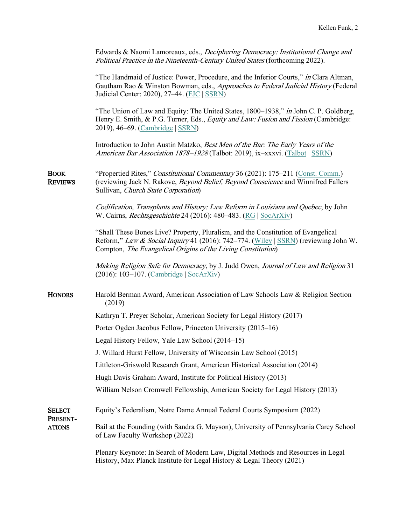| Edwards & Naomi Lamoreaux, eds., <i>Deciphering Democracy: Institutional Change and</i> |
|-----------------------------------------------------------------------------------------|
| <i>Political Practice in the Nineteenth-Century United States (forthcoming 2022).</i>   |

"The Handmaid of Justice: Power, Procedure, and the Inferior Courts," in Clara Altman, Gautham Rao & Winston Bowman, eds., Approaches to Federal Judicial History (Federal Judicial Center: 2020), 27–44. [\(FJC](https://www.fjc.gov/content/343372/approaches-federal-judicial-history) | [SSRN\)](https://papers.ssrn.com/abstract=3525153)

"The Union of Law and Equity: The United States, 1800–1938," in John C. P. Goldberg, Henry E. Smith, & P.G. Turner, Eds., *Equity and Law: Fusion and Fission* (Cambridge: 2019), 46–69. [\(Cambridge](https://www.cambridge.org/us/academic/subjects/law/equity-and-trusts/equity-and-law-fusion-and-fission?format=HB) | [SSRN\)](https://papers.ssrn.com/abstract=3525155)

Introduction to John Austin Matzko, Best Men of the Bar: The Early Years of the American Bar Association 1878–1928 [\(Talbot](https://www.lawbookexchange.com/pages/books/68766/john-austin-matzko/best-men-of-the-bar-the-early-years-of-the-american-bar-association): 2019), ix–xxxvi. (Talbot [| SSRN\)](https://papers.ssrn.com/abstract=3400353)

BOOK "Propertied Rites," Constitutional Commentary 36 (2021): 175–211 [\(Const. Comm.\)](https://conservancy.umn.edu/handle/11299/221623) REVIEWS (reviewing Jack N. Rakove, Beyond Belief, Beyond Conscience and Winnifred Fallers Sullivan, Church State Corporation)

> Codification, Transplants and History: Law Reform in Louisiana and Quebec, by John W. Cairns, *Rechtsgeschichte* 24 (2016): 480–483. [\(RG](http://data.rg.mpg.de/rechtsgeschichte/rg24_480funk.pdf) | [SocArXiv\)](https://osf.io/vhc7a/)

"Shall These Bones Live? Property, Pluralism, and the Constitution of Evangelical Reform," Law & Social Inquiry 41 (2016): 742–774. [\(Wiley](http://onlinelibrary.wiley.com/doi/10.1111/lsi.12213/full) | [SSRN\)](https://papers.ssrn.com/abstract=2660476) (reviewing John W. Compton, The Evangelical Origins of the Living Constitution)

Making Religion Safe for Democracy, by J. Judd Owen, Journal of Law and Religion 31 (2016): 103–107. [\(Cambridge](http://dx.doi.org/10.1017/jlr.2016.6) | [SocArXiv\)](https://osf.io/9a2fu/)

HONORS Harold Berman Award, American Association of Law Schools Law & Religion Section (2019)

Kathryn T. Preyer Scholar, American Society for Legal History (2017)

Porter Ogden Jacobus Fellow, Princeton University (2015–16)

Legal History Fellow, Yale Law School (2014–15)

J. Willard Hurst Fellow, University of Wisconsin Law School (2015)

Littleton-Griswold Research Grant, American Historical Association (2014)

Hugh Davis Graham Award, Institute for Political History (2013)

William Nelson Cromwell Fellowship, American Society for Legal History (2013)

SELECT Equity's Federalism, Notre Dame Annual Federal Courts Symposium (2022)

PRESENT-

ATIONS Bail at the Founding (with Sandra G. Mayson), University of Pennsylvania Carey School of Law Faculty Workshop (2022)

> Plenary Keynote: In Search of Modern Law, Digital Methods and Resources in Legal History, Max Planck Institute for Legal History & Legal Theory (2021)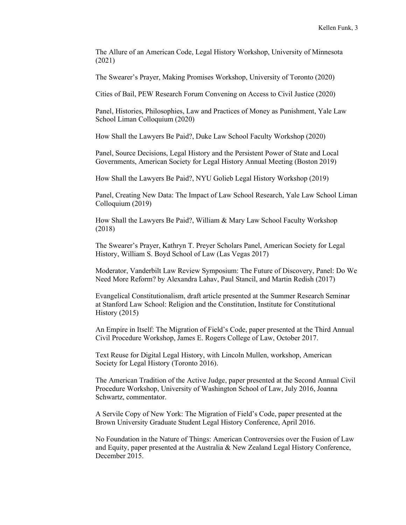The Allure of an American Code, Legal History Workshop, University of Minnesota (2021)

The Swearer's Prayer, Making Promises Workshop, University of Toronto (2020)

Cities of Bail, PEW Research Forum Convening on Access to Civil Justice (2020)

Panel, Histories, Philosophies, Law and Practices of Money as Punishment, Yale Law School Liman Colloquium (2020)

How Shall the Lawyers Be Paid?, Duke Law School Faculty Workshop (2020)

Panel, Source Decisions, Legal History and the Persistent Power of State and Local Governments, American Society for Legal History Annual Meeting (Boston 2019)

How Shall the Lawyers Be Paid?, NYU Golieb Legal History Workshop (2019)

Panel, Creating New Data: The Impact of Law School Research, Yale Law School Liman Colloquium (2019)

How Shall the Lawyers Be Paid?, William & Mary Law School Faculty Workshop (2018)

The Swearer's Prayer, Kathryn T. Preyer Scholars Panel, American Society for Legal History, William S. Boyd School of Law (Las Vegas 2017)

Moderator, Vanderbilt Law Review Symposium: The Future of Discovery, Panel: Do We Need More Reform? by Alexandra Lahav, Paul Stancil, and Martin Redish (2017)

Evangelical Constitutionalism, draft article presented at the Summer Research Seminar at Stanford Law School: Religion and the Constitution, Institute for Constitutional History (2015)

An Empire in Itself: The Migration of Field's Code, paper presented at the Third Annual Civil Procedure Workshop, James E. Rogers College of Law, October 2017.

Text Reuse for Digital Legal History, with Lincoln Mullen, workshop, American Society for Legal History (Toronto 2016).

The American Tradition of the Active Judge, paper presented at the Second Annual Civil Procedure Workshop, University of Washington School of Law, July 2016, Joanna Schwartz, commentator.

A Servile Copy of New York: The Migration of Field's Code, paper presented at the Brown University Graduate Student Legal History Conference, April 2016.

No Foundation in the Nature of Things: American Controversies over the Fusion of Law and Equity, paper presented at the Australia & New Zealand Legal History Conference, December 2015.